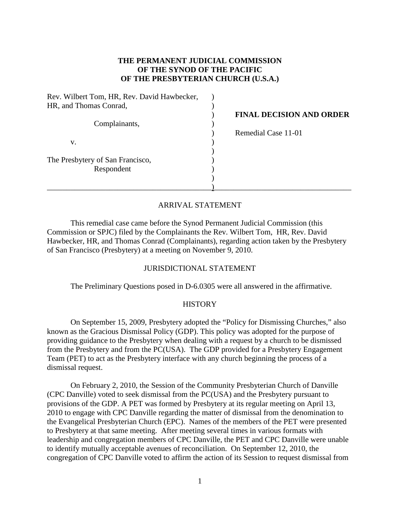# **THE PERMANENT JUDICIAL COMMISSION OF THE SYNOD OF THE PACIFIC OF THE PRESBYTERIAN CHURCH (U.S.A.)**

| Rev. Wilbert Tom, HR, Rev. David Hawbecker, |                                 |
|---------------------------------------------|---------------------------------|
| HR, and Thomas Conrad,                      |                                 |
|                                             | <b>FINAL DECISION AND ORDER</b> |
| Complainants,                               |                                 |
|                                             | Remedial Case 11-01             |
| V.                                          |                                 |
|                                             |                                 |
| The Presbytery of San Francisco,            |                                 |
| Respondent                                  |                                 |
|                                             |                                 |
|                                             |                                 |

## ARRIVAL STATEMENT

This remedial case came before the Synod Permanent Judicial Commission (this Commission or SPJC) filed by the Complainants the Rev. Wilbert Tom, HR, Rev. David Hawbecker, HR, and Thomas Conrad (Complainants), regarding action taken by the Presbytery of San Francisco (Presbytery) at a meeting on November 9, 2010.

### JURISDICTIONAL STATEMENT

The Preliminary Questions posed in D-6.0305 were all answered in the affirmative.

### **HISTORY**

On September 15, 2009, Presbytery adopted the "Policy for Dismissing Churches," also known as the Gracious Dismissal Policy (GDP). This policy was adopted for the purpose of providing guidance to the Presbytery when dealing with a request by a church to be dismissed from the Presbytery and from the PC(USA). The GDP provided for a Presbytery Engagement Team (PET) to act as the Presbytery interface with any church beginning the process of a dismissal request.

On February 2, 2010, the Session of the Community Presbyterian Church of Danville (CPC Danville) voted to seek dismissal from the PC(USA) and the Presbytery pursuant to provisions of the GDP. A PET was formed by Presbytery at its regular meeting on April 13, 2010 to engage with CPC Danville regarding the matter of dismissal from the denomination to the Evangelical Presbyterian Church (EPC). Names of the members of the PET were presented to Presbytery at that same meeting. After meeting several times in various formats with leadership and congregation members of CPC Danville, the PET and CPC Danville were unable to identify mutually acceptable avenues of reconciliation. On September 12, 2010, the congregation of CPC Danville voted to affirm the action of its Session to request dismissal from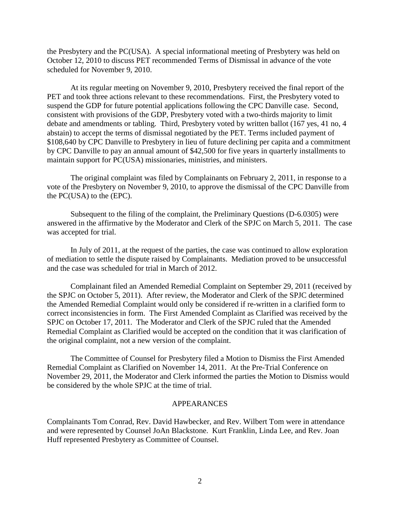the Presbytery and the PC(USA). A special informational meeting of Presbytery was held on October 12, 2010 to discuss PET recommended Terms of Dismissal in advance of the vote scheduled for November 9, 2010.

At its regular meeting on November 9, 2010, Presbytery received the final report of the PET and took three actions relevant to these recommendations. First, the Presbytery voted to suspend the GDP for future potential applications following the CPC Danville case. Second, consistent with provisions of the GDP, Presbytery voted with a two-thirds majority to limit debate and amendments or tabling. Third, Presbytery voted by written ballot (167 yes, 41 no, 4 abstain) to accept the terms of dismissal negotiated by the PET. Terms included payment of \$108,640 by CPC Danville to Presbytery in lieu of future declining per capita and a commitment by CPC Danville to pay an annual amount of \$42,500 for five years in quarterly installments to maintain support for PC(USA) missionaries, ministries, and ministers.

The original complaint was filed by Complainants on February 2, 2011, in response to a vote of the Presbytery on November 9, 2010, to approve the dismissal of the CPC Danville from the PC(USA) to the (EPC).

Subsequent to the filing of the complaint, the Preliminary Questions (D-6.0305) were answered in the affirmative by the Moderator and Clerk of the SPJC on March 5, 2011. The case was accepted for trial.

In July of 2011, at the request of the parties, the case was continued to allow exploration of mediation to settle the dispute raised by Complainants. Mediation proved to be unsuccessful and the case was scheduled for trial in March of 2012.

Complainant filed an Amended Remedial Complaint on September 29, 2011 (received by the SPJC on October 5, 2011). After review, the Moderator and Clerk of the SPJC determined the Amended Remedial Complaint would only be considered if re-written in a clarified form to correct inconsistencies in form. The First Amended Complaint as Clarified was received by the SPJC on October 17, 2011. The Moderator and Clerk of the SPJC ruled that the Amended Remedial Complaint as Clarified would be accepted on the condition that it was clarification of the original complaint, not a new version of the complaint.

The Committee of Counsel for Presbytery filed a Motion to Dismiss the First Amended Remedial Complaint as Clarified on November 14, 2011. At the Pre-Trial Conference on November 29, 2011, the Moderator and Clerk informed the parties the Motion to Dismiss would be considered by the whole SPJC at the time of trial.

#### APPEARANCES

Complainants Tom Conrad, Rev. David Hawbecker, and Rev. Wilbert Tom were in attendance and were represented by Counsel JoAn Blackstone. Kurt Franklin, Linda Lee, and Rev. Joan Huff represented Presbytery as Committee of Counsel.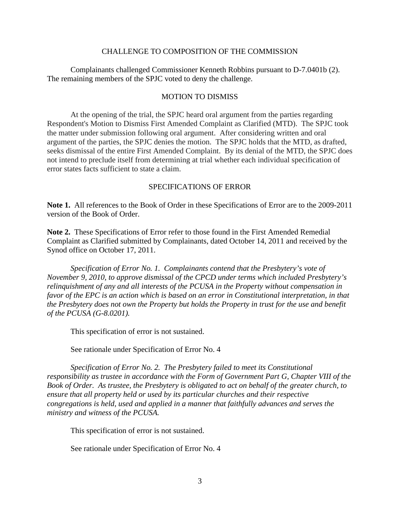### CHALLENGE TO COMPOSITION OF THE COMMISSION

Complainants challenged Commissioner Kenneth Robbins pursuant to D-7.0401b (2). The remaining members of the SPJC voted to deny the challenge.

### MOTION TO DISMISS

At the opening of the trial, the SPJC heard oral argument from the parties regarding Respondent's Motion to Dismiss First Amended Complaint as Clarified (MTD). The SPJC took the matter under submission following oral argument. After considering written and oral argument of the parties, the SPJC denies the motion. The SPJC holds that the MTD, as drafted, seeks dismissal of the entire First Amended Complaint. By its denial of the MTD, the SPJC does not intend to preclude itself from determining at trial whether each individual specification of error states facts sufficient to state a claim.

### SPECIFICATIONS OF ERROR

**Note 1.** All references to the Book of Order in these Specifications of Error are to the 2009-2011 version of the Book of Order.

**Note 2.** These Specifications of Error refer to those found in the First Amended Remedial Complaint as Clarified submitted by Complainants, dated October 14, 2011 and received by the Synod office on October 17, 2011.

*Specification of Error No. 1. Complainants contend that the Presbytery's vote of November 9, 2010, to approve dismissal of the CPCD under terms which included Presbytery's relinquishment of any and all interests of the PCUSA in the Property without compensation in favor of the EPC is an action which is based on an error in Constitutional interpretation, in that the Presbytery does not own the Property but holds the Property in trust for the use and benefit of the PCUSA (G-8.0201).*

This specification of error is not sustained.

See rationale under Specification of Error No. 4

*Specification of Error No. 2. The Presbytery failed to meet its Constitutional responsibility as trustee in accordance with the Form of Government Part G, Chapter VIII of the Book of Order. As trustee, the Presbytery is obligated to act on behalf of the greater church, to ensure that all property held or used by its particular churches and their respective congregations is held, used and applied in a manner that faithfully advances and serves the ministry and witness of the PCUSA.* 

This specification of error is not sustained.

See rationale under Specification of Error No. 4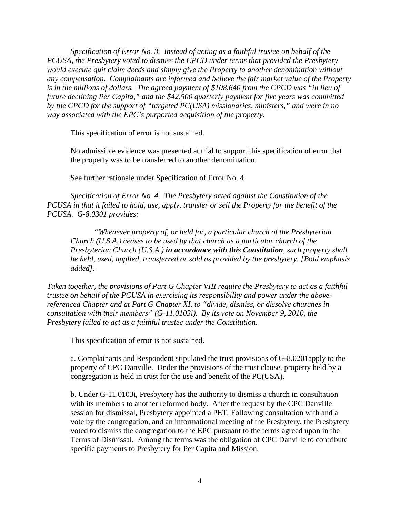*Specification of Error No. 3. Instead of acting as a faithful trustee on behalf of the PCUSA, the Presbytery voted to dismiss the CPCD under terms that provided the Presbytery would execute quit claim deeds and simply give the Property to another denomination without any compensation. Complainants are informed and believe the fair market value of the Property is in the millions of dollars. The agreed payment of \$108,640 from the CPCD was "in lieu of future declining Per Capita," and the \$42,500 quarterly payment for five years was committed by the CPCD for the support of "targeted PC(USA) missionaries, ministers," and were in no way associated with the EPC's purported acquisition of the property.*

This specification of error is not sustained.

No admissible evidence was presented at trial to support this specification of error that the property was to be transferred to another denomination.

See further rationale under Specification of Error No. 4

*Specification of Error No. 4. The Presbytery acted against the Constitution of the PCUSA in that it failed to hold, use, apply, transfer or sell the Property for the benefit of the PCUSA. G-8.0301 provides:*

*"Whenever property of, or held for, a particular church of the Presbyterian Church (U.S.A.) ceases to be used by that church as a particular church of the Presbyterian Church (U.S.A.) in accordance with this Constitution, such property shall be held, used, applied, transferred or sold as provided by the presbytery. [Bold emphasis added].* 

*Taken together, the provisions of Part G Chapter VIII require the Presbytery to act as a faithful trustee on behalf of the PCUSA in exercising its responsibility and power under the abovereferenced Chapter and at Part G Chapter XI, to "divide, dismiss, or dissolve churches in consultation with their members" (G-11.0103i). By its vote on November 9, 2010, the Presbytery failed to act as a faithful trustee under the Constitution.* 

This specification of error is not sustained.

a. Complainants and Respondent stipulated the trust provisions of G-8.0201apply to the property of CPC Danville. Under the provisions of the trust clause, property held by a congregation is held in trust for the use and benefit of the PC(USA).

b. Under G-11.0103i, Presbytery has the authority to dismiss a church in consultation with its members to another reformed body. After the request by the CPC Danville session for dismissal, Presbytery appointed a PET. Following consultation with and a vote by the congregation, and an informational meeting of the Presbytery, the Presbytery voted to dismiss the congregation to the EPC pursuant to the terms agreed upon in the Terms of Dismissal. Among the terms was the obligation of CPC Danville to contribute specific payments to Presbytery for Per Capita and Mission.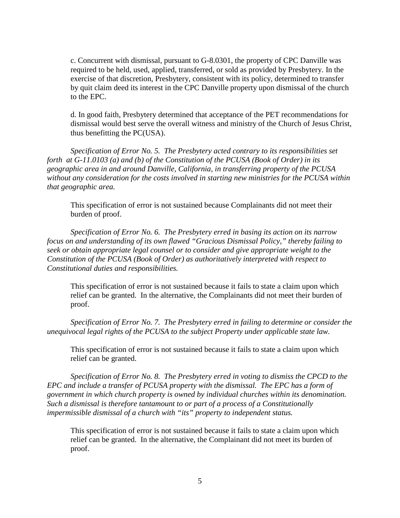c. Concurrent with dismissal, pursuant to G-8.0301, the property of CPC Danville was required to be held, used, applied, transferred, or sold as provided by Presbytery. In the exercise of that discretion, Presbytery, consistent with its policy, determined to transfer by quit claim deed its interest in the CPC Danville property upon dismissal of the church to the EPC.

d. In good faith, Presbytery determined that acceptance of the PET recommendations for dismissal would best serve the overall witness and ministry of the Church of Jesus Christ, thus benefitting the PC(USA).

*Specification of Error No. 5. The Presbytery acted contrary to its responsibilities set forth at G-11.0103 (a) and (b) of the Constitution of the PCUSA (Book of Order) in its geographic area in and around Danville, California, in transferring property of the PCUSA without any consideration for the costs involved in starting new ministries for the PCUSA within that geographic area.* 

This specification of error is not sustained because Complainants did not meet their burden of proof.

*Specification of Error No. 6. The Presbytery erred in basing its action on its narrow focus on and understanding of its own flawed "Gracious Dismissal Policy," thereby failing to seek or obtain appropriate legal counsel or to consider and give appropriate weight to the Constitution of the PCUSA (Book of Order) as authoritatively interpreted with respect to Constitutional duties and responsibilities.* 

This specification of error is not sustained because it fails to state a claim upon which relief can be granted. In the alternative, the Complainants did not meet their burden of proof.

*Specification of Error No. 7. The Presbytery erred in failing to determine or consider the unequivocal legal rights of the PCUSA to the subject Property under applicable state law.* 

This specification of error is not sustained because it fails to state a claim upon which relief can be granted.

*Specification of Error No. 8. The Presbytery erred in voting to dismiss the CPCD to the EPC and include a transfer of PCUSA property with the dismissal. The EPC has a form of government in which church property is owned by individual churches within its denomination. Such a dismissal is therefore tantamount to or part of a process of a Constitutionally impermissible dismissal of a church with "its" property to independent status.* 

This specification of error is not sustained because it fails to state a claim upon which relief can be granted. In the alternative, the Complainant did not meet its burden of proof.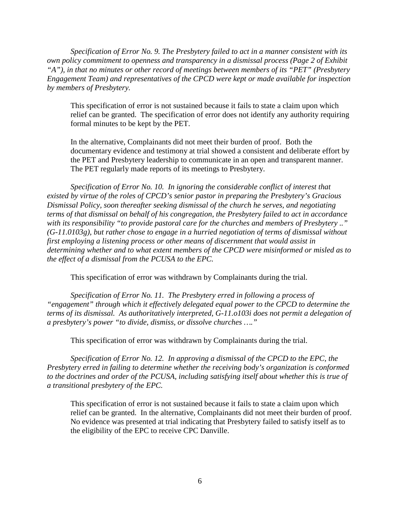*Specification of Error No. 9. The Presbytery failed to act in a manner consistent with its own policy commitment to openness and transparency in a dismissal process (Page 2 of Exhibit "A"), in that no minutes or other record of meetings between members of its "PET" (Presbytery Engagement Team) and representatives of the CPCD were kept or made available for inspection by members of Presbytery.*

This specification of error is not sustained because it fails to state a claim upon which relief can be granted. The specification of error does not identify any authority requiring formal minutes to be kept by the PET.

In the alternative, Complainants did not meet their burden of proof. Both the documentary evidence and testimony at trial showed a consistent and deliberate effort by the PET and Presbytery leadership to communicate in an open and transparent manner. The PET regularly made reports of its meetings to Presbytery.

*Specification of Error No. 10. In ignoring the considerable conflict of interest that existed by virtue of the roles of CPCD's senior pastor in preparing the Presbytery's Gracious Dismissal Policy, soon thereafter seeking dismissal of the church he serves, and negotiating terms of that dismissal on behalf of his congregation, the Presbytery failed to act in accordance with its responsibility "to provide pastoral care for the churches and members of Presbytery .." (G-11.0103g), but rather chose to engage in a hurried negotiation of terms of dismissal without first employing a listening process or other means of discernment that would assist in determining whether and to what extent members of the CPCD were misinformed or misled as to the effect of a dismissal from the PCUSA to the EPC.* 

This specification of error was withdrawn by Complainants during the trial.

*Specification of Error No. 11. The Presbytery erred in following a process of "engagement" through which it effectively delegated equal power to the CPCD to determine the terms of its dismissal. As authoritatively interpreted, G-11.o103i does not permit a delegation of a presbytery's power "to divide, dismiss, or dissolve churches …."*

This specification of error was withdrawn by Complainants during the trial.

*Specification of Error No. 12. In approving a dismissal of the CPCD to the EPC, the Presbytery erred in failing to determine whether the receiving body's organization is conformed to the doctrines and order of the PCUSA, including satisfying itself about whether this is true of a transitional presbytery of the EPC.* 

This specification of error is not sustained because it fails to state a claim upon which relief can be granted. In the alternative, Complainants did not meet their burden of proof. No evidence was presented at trial indicating that Presbytery failed to satisfy itself as to the eligibility of the EPC to receive CPC Danville.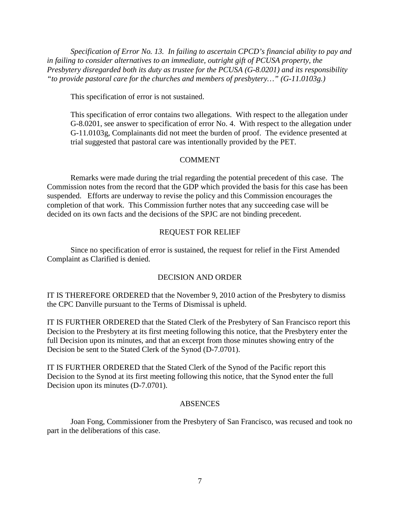*Specification of Error No. 13. In failing to ascertain CPCD's financial ability to pay and in failing to consider alternatives to an immediate, outright gift of PCUSA property, the Presbytery disregarded both its duty as trustee for the PCUSA (G-8.0201) and its responsibility "to provide pastoral care for the churches and members of presbytery…" (G-11.0103g.)*

This specification of error is not sustained.

This specification of error contains two allegations. With respect to the allegation under G-8.0201, see answer to specification of error No. 4. With respect to the allegation under G-11.0103g, Complainants did not meet the burden of proof. The evidence presented at trial suggested that pastoral care was intentionally provided by the PET.

### **COMMENT**

Remarks were made during the trial regarding the potential precedent of this case. The Commission notes from the record that the GDP which provided the basis for this case has been suspended. Efforts are underway to revise the policy and this Commission encourages the completion of that work. This Commission further notes that any succeeding case will be decided on its own facts and the decisions of the SPJC are not binding precedent.

### REQUEST FOR RELIEF

Since no specification of error is sustained, the request for relief in the First Amended Complaint as Clarified is denied.

### DECISION AND ORDER

IT IS THEREFORE ORDERED that the November 9, 2010 action of the Presbytery to dismiss the CPC Danville pursuant to the Terms of Dismissal is upheld.

IT IS FURTHER ORDERED that the Stated Clerk of the Presbytery of San Francisco report this Decision to the Presbytery at its first meeting following this notice, that the Presbytery enter the full Decision upon its minutes, and that an excerpt from those minutes showing entry of the Decision be sent to the Stated Clerk of the Synod (D-7.0701).

IT IS FURTHER ORDERED that the Stated Clerk of the Synod of the Pacific report this Decision to the Synod at its first meeting following this notice, that the Synod enter the full Decision upon its minutes (D-7.0701).

### ABSENCES

Joan Fong, Commissioner from the Presbytery of San Francisco, was recused and took no part in the deliberations of this case.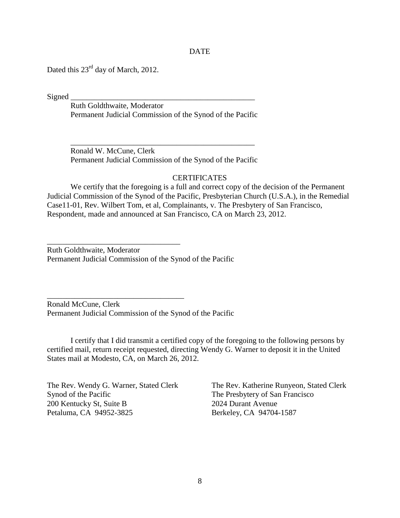### DATE

Dated this 23<sup>rd</sup> day of March, 2012.

 $Signed$ 

Ruth Goldthwaite, Moderator Permanent Judicial Commission of the Synod of the Pacific

Ronald W. McCune, Clerk Permanent Judicial Commission of the Synod of the Pacific

\_\_\_\_\_\_\_\_\_\_\_\_\_\_\_\_\_\_\_\_\_\_\_\_\_\_\_\_\_\_\_\_\_\_\_\_\_\_\_\_\_\_\_\_\_\_\_

### **CERTIFICATES**

We certify that the foregoing is a full and correct copy of the decision of the Permanent Judicial Commission of the Synod of the Pacific, Presbyterian Church (U.S.A.), in the Remedial Case11-01, Rev. Wilbert Tom, et al, Complainants, v. The Presbytery of San Francisco, Respondent, made and announced at San Francisco, CA on March 23, 2012.

Ruth Goldthwaite, Moderator Permanent Judicial Commission of the Synod of the Pacific

\_\_\_\_\_\_\_\_\_\_\_\_\_\_\_\_\_\_\_\_\_\_\_\_\_\_\_\_\_\_\_\_\_\_

\_\_\_\_\_\_\_\_\_\_\_\_\_\_\_\_\_\_\_\_\_\_\_\_\_\_\_\_\_\_\_\_\_\_\_

Ronald McCune, Clerk Permanent Judicial Commission of the Synod of the Pacific

I certify that I did transmit a certified copy of the foregoing to the following persons by certified mail, return receipt requested, directing Wendy G. Warner to deposit it in the United States mail at Modesto, CA, on March 26, 2012.

The Rev. Wendy G. Warner, Stated Clerk The Rev. Katherine Runyeon, Stated Clerk Synod of the Pacific The Presbytery of San Francisco 200 Kentucky St, Suite B 2024 Durant Avenue Petaluma, CA 94952-3825 Berkeley, CA 94704-1587